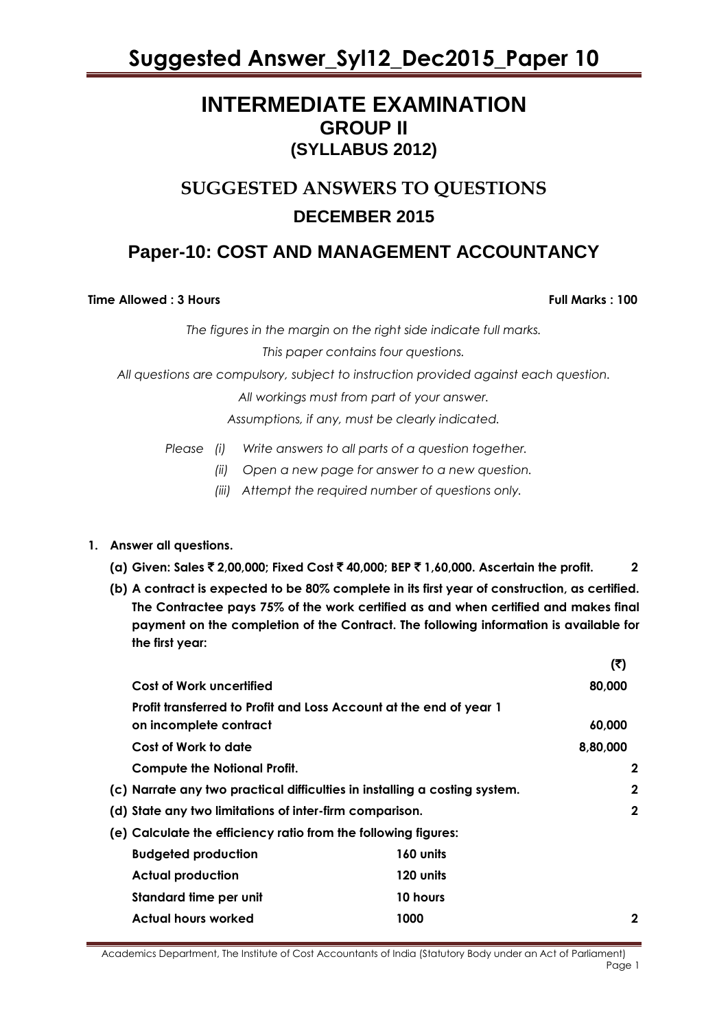### **INTERMEDIATE EXAMINATION GROUP II (SYLLABUS 2012)**

### **SUGGESTED ANSWERS TO QUESTIONS DECEMBER 2015**

### **Paper-10: COST AND MANAGEMENT ACCOUNTANCY**

### **Time Allowed : 3 Hours Full Marks : 100**

*The figures in the margin on the right side indicate full marks.*

*This paper contains four questions.*

*All questions are compulsory, subject to instruction provided against each question.*

*All workings must from part of your answer.*

*Assumptions, if any, must be clearly indicated.*

*Please (i) Write answers to all parts of a question together.*

*(ii) Open a new page for answer to a new question.*

*(iii) Attempt the required number of questions only.*

### **1. Answer all questions.**

- **(a) Given: Sales** ` **2,00,000; Fixed Cost** ` **40,000; BEP** ` **1,60,000. Ascertain the profit. 2**
- **(b) A contract is expected to be 80% complete in its first year of construction, as certified. The Contractee pays 75% of the work certified as and when certified and makes final payment on the completion of the Contract. The following information is available for the first year:**

|                                                                            |           | $\cdots$    |
|----------------------------------------------------------------------------|-----------|-------------|
| Cost of Work uncertified                                                   |           | 80,000      |
| Profit transferred to Profit and Loss Account at the end of year 1         |           |             |
| on incomplete contract                                                     |           | 60,000      |
| Cost of Work to date                                                       |           | 8,80,000    |
| <b>Compute the Notional Profit.</b>                                        |           | 2           |
| (c) Narrate any two practical difficulties in installing a costing system. |           | $\mathbf 2$ |
| (d) State any two limitations of inter-firm comparison.                    |           | $\mathbf 2$ |
| (e) Calculate the efficiency ratio from the following figures:             |           |             |
| <b>Budgeted production</b>                                                 | 160 units |             |
| <b>Actual production</b>                                                   | 120 units |             |
| Standard time per unit                                                     | 10 hours  |             |
| <b>Actual hours worked</b>                                                 | 1000      | $\mathbf 2$ |
|                                                                            |           |             |

Academics Department, The Institute of Cost Accountants of India (Statutory Body under an Act of Parliament) Page 1

**(**`**)**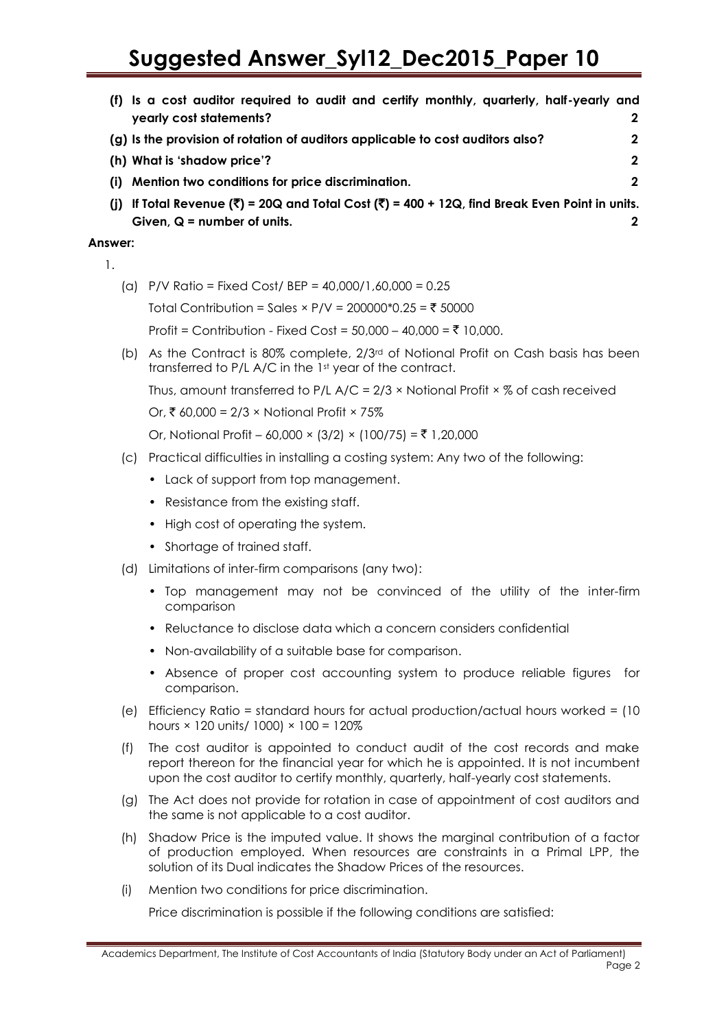| (f) Is a cost auditor required to audit and certify monthly, quarterly, half-yearly and        |   |
|------------------------------------------------------------------------------------------------|---|
| yearly cost statements?                                                                        |   |
| (g) Is the provision of rotation of auditors applicable to cost auditors also?                 |   |
| (h) What is 'shadow price'?                                                                    | 2 |
| (i) Mention two conditions for price discrimination.                                           |   |
| (j) If Total Revenue (₹) = 20Q and Total Cost (₹) = 400 + 12Q, find Break Even Point in units. |   |
| Given, $Q =$ number of units.                                                                  |   |

### **Answer:**

1.

(a) P/V Ratio = Fixed Cost/ BEP = 40,000/1,60,000 = 0.25

Total Contribution = Sales × P/V =  $200000*0.25 = ₹ 50000$ 

Profit = Contribution - Fixed Cost =  $50,000 - 40,000 = ₹ 10,000$ .

(b) As the Contract is 80% complete, 2/3rd of Notional Profit on Cash basis has been transferred to P/L A/C in the 1st year of the contract.

Thus, amount transferred to P/L  $A/C = 2/3 \times$  Notional Profit  $\times \%$  of cash received

Or, ₹ 60,000 = 2/3 × Notional Profit × 75%

Or, Notional Profit – 60,000 × (3/2) × (100/75) = ₹ 1,20,000

- (c) Practical difficulties in installing a costing system: Any two of the following:
	- Lack of support from top management.
	- Resistance from the existing staff.
	- High cost of operating the system.
	- Shortage of trained staff.
- (d) Limitations of inter-firm comparisons (any two):
	- Top management may not be convinced of the utility of the inter-firm comparison
	- Reluctance to disclose data which a concern considers confidential
	- Non-availability of a suitable base for comparison.
	- Absence of proper cost accounting system to produce reliable figures for comparison.
- (e) Efficiency Ratio = standard hours for actual production/actual hours worked = (10 hours × 120 units/ 1000) × 100 = 120%
- (f) The cost auditor is appointed to conduct audit of the cost records and make report thereon for the financial year for which he is appointed. It is not incumbent upon the cost auditor to certify monthly, quarterly, half-yearly cost statements.
- (g) The Act does not provide for rotation in case of appointment of cost auditors and the same is not applicable to a cost auditor.
- (h) Shadow Price is the imputed value. It shows the marginal contribution of a factor of production employed. When resources are constraints in a Primal LPP, the solution of its Dual indicates the Shadow Prices of the resources.
- (i) Mention two conditions for price discrimination.

Price discrimination is possible if the following conditions are satisfied: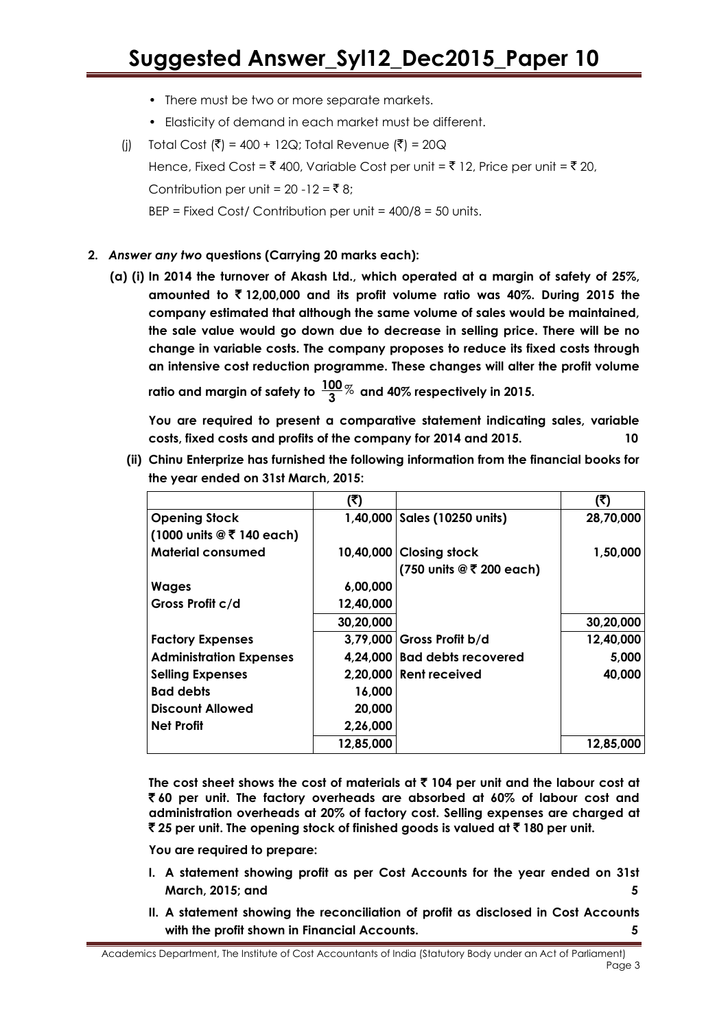- There must be two or more separate markets.
- Elasticity of demand in each market must be different.
- (i) Total Cost  $(\bar{\zeta}) = 400 + 12Q$ ; Total Revenue  $(\bar{\zeta}) = 20Q$ Hence, Fixed Cost =  $\bar{z}$  400, Variable Cost per unit =  $\bar{z}$  12, Price per unit =  $\bar{z}$  20, Contribution per unit =  $20 - 12 = ₹8$ ;  $BEP = Fixed Cost / Continution per unit =  $400/8 = 50$  units.$
- **2.** *Answer any two* **questions (Carrying 20 marks each):**
	- **(a) (i) In 2014 the turnover of Akash Ltd., which operated at a margin of safety of 25%, amounted to** ` **12,00,000 and its profit volume ratio was 40%. During 2015 the company estimated that although the same volume of sales would be maintained, the sale value would go down due to decrease in selling price. There will be no change in variable costs. The company proposes to reduce its fixed costs through an intensive cost reduction programme. These changes will alter the profit volume ratio and margin of safety to 100** % **3 and 40% respectively in 2015.**

**You are required to present a comparative statement indicating sales, variable costs, fixed costs and profits of the company for 2014 and 2015. 10**

**(ii) Chinu Enterprize has furnished the following information from the financial books for the year ended on 31st March, 2015:**

|                                                                    | (₹)       |                                | (₹)       |
|--------------------------------------------------------------------|-----------|--------------------------------|-----------|
| <b>Opening Stock</b>                                               |           | 1,40,000   Sales (10250 units) | 28,70,000 |
| $(1000 \text{ units} \circledcirc \bar{5} \cdot 140 \text{ each})$ |           |                                |           |
| <b>Material consumed</b>                                           |           | 10,40,000 Closing stock        | 1,50,000  |
|                                                                    |           | (750 units @ ₹ 200 each)       |           |
| <b>Wages</b>                                                       | 6,00,000  |                                |           |
| Gross Profit c/d                                                   | 12,40,000 |                                |           |
|                                                                    | 30,20,000 |                                | 30,20,000 |
| <b>Factory Expenses</b>                                            |           | 3,79,000 Gross Profit b/d      | 12,40,000 |
| <b>Administration Expenses</b>                                     |           | 4.24,000 Bad debts recovered   | 5,000     |
| <b>Selling Expenses</b>                                            |           | 2,20,000 Rent received         | 40,000    |
| <b>Bad debts</b>                                                   | 16,000    |                                |           |
| <b>Discount Allowed</b>                                            | 20,000    |                                |           |
| <b>Net Profit</b>                                                  | 2,26,000  |                                |           |
|                                                                    | 12,85,000 |                                | 12,85,000 |

The cost sheet shows the cost of materials at  $\bar{\tau}$  104 per unit and the labour cost at ` **60 per unit. The factory overheads are absorbed at 60% of labour cost and administration overheads at 20% of factory cost. Selling expenses are charged at**  ` **25 per unit. The opening stock of finished goods is valued at** ` **180 per unit.**

**You are required to prepare:**

- **I. A statement showing profit as per Cost Accounts for the year ended on 31st March, 2015; and 5**
- **II. A statement showing the reconciliation of profit as disclosed in Cost Accounts with the profit shown in Financial Accounts. 5**

Academics Department, The Institute of Cost Accountants of India (Statutory Body under an Act of Parliament) Page 3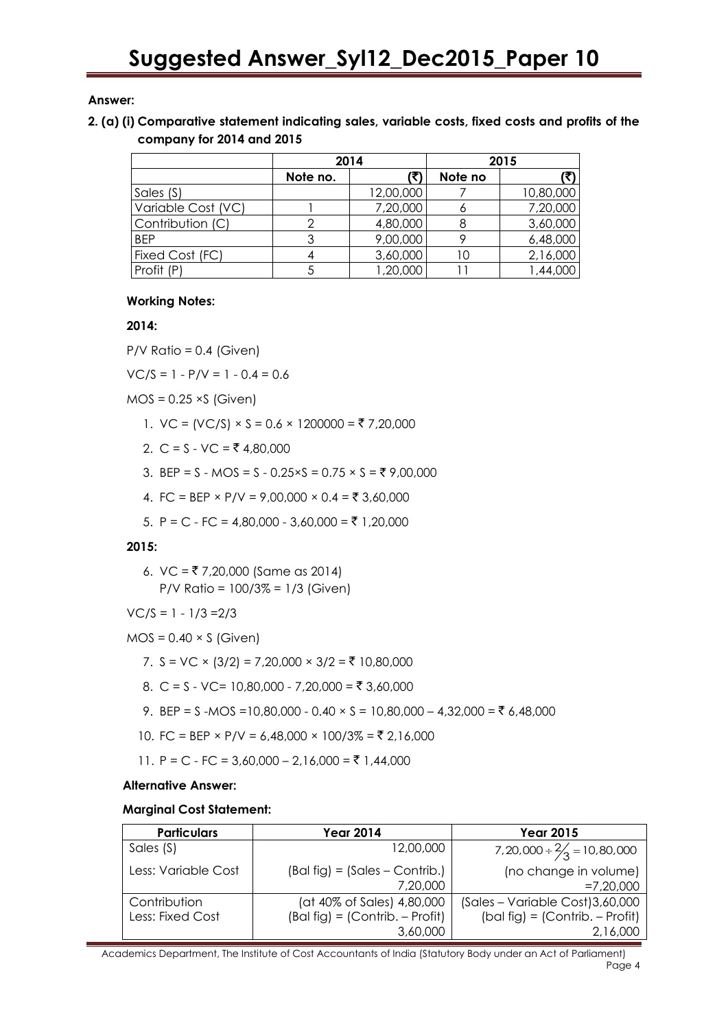### **Answer:**

### **2. (a) (i) Comparative statement indicating sales, variable costs, fixed costs and profits of the company for 2014 and 2015**

|                    | 2014     |           | 2015    |           |
|--------------------|----------|-----------|---------|-----------|
|                    | Note no. |           | Note no |           |
| Sales (S)          |          | 12,00,000 |         | 10,80,000 |
| Variable Cost (VC) |          | 7,20,000  |         | 7,20,000  |
| Contribution (C)   |          | 4,80,000  |         | 3,60,000  |
| <b>BEP</b>         |          | 9,00,000  |         | 6,48,000  |
| Fixed Cost (FC)    |          | 3,60,000  |         | 2,16,000  |
| Profit (P)         |          | 1,20,000  |         | 44,000, 1 |

### **Working Notes:**

### **2014:**

 $P/V$  Ratio = 0.4 (Given)

 $VC/S = 1 - P/V = 1 - 0.4 = 0.6$ 

 $MOS = 0.25 \times S$  (Given)

- 1.  $VC = (VC/S) \times S = 0.6 \times 1200000 = \text{\textsterling}7,20,000$
- 2. C = S VC = ₹ 4,80,000
- 3. BEP = S MOS = S 0.25×S = 0.75 × S =  $\overline{5}$  9,00,000
- 4. FC = BEP × P/V = 9,00,000 × 0.4 =  $\overline{5}$  3,60,000
- 5. P = C FC = 4,80,000 3,60,000 = ₹ 1,20,000

### **2015:**

6.  $VC = ₹7,20,000$  (Same as 2014) P/V Ratio = 100/3% = 1/3 (Given)

$$
VC/S = 1 - 1/3 = 2/3
$$

- $MOS = 0.40 \times S$  (Given)
	- 7. S = VC × (3/2) = 7,20,000 × 3/2 = ₹ 10,80,000
	- 8. C = S VC= 10,80,000 7,20,000 = ₹ 3,60,000
	- 9. BEP = S -MOS = 10,80,000 0.40  $\times$  S = 10,80,000 4,32,000 = ₹ 6,48,000
	- 10. FC = BEP × P/V = 6,48,000 × 100/3% = ₹ 2,16,000
	- 11. P = C FC = 3,60,000 2,16,000 = ₹ 1,44,000

### **Alternative Answer:**

### **Marginal Cost Statement:**

| <b>Particulars</b>               | <b>Year 2014</b>                                                            | <b>Year 2015</b>                                                                  |
|----------------------------------|-----------------------------------------------------------------------------|-----------------------------------------------------------------------------------|
| Sales (S)                        | 12,00,000                                                                   | $7,20,000 \div \frac{2}{3} = 10,80,000$                                           |
| Less: Variable Cost              | $(Bal fig) = (Sales - Contrib.)$<br>7,20,000                                | (no change in volume)<br>$=7,20,000$                                              |
| Contribution<br>Less: Fixed Cost | (at 40% of Sales) 4,80,000<br>$(Bal fig) = (Contrib. - Profit)$<br>3,60,000 | (Sales - Variable Cost) 3,60,000<br>$(bal fig) = (Contrib. - Profit)$<br>2,16,000 |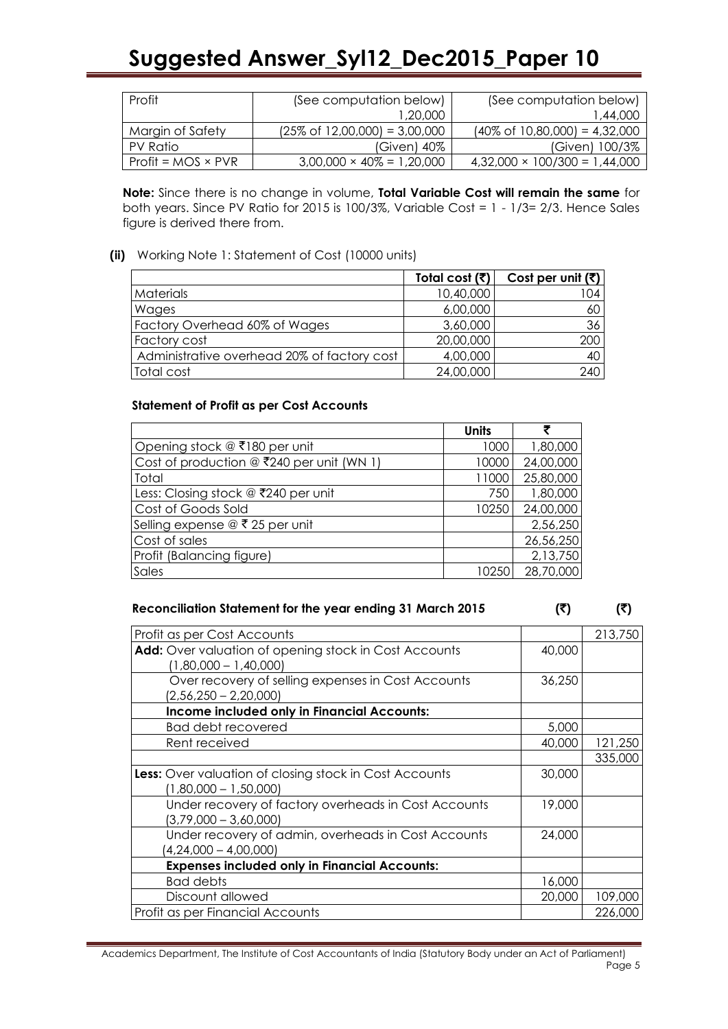| Profit                    | (See computation below)                   | (See computation below)                   |
|---------------------------|-------------------------------------------|-------------------------------------------|
|                           | 1,20,000                                  | 1,44,000                                  |
| Margin of Safety          | $(25\% \text{ of } 12,00,000) = 3,00,000$ | $(40\% \text{ of } 10,80,000) = 4,32,000$ |
| PV Ratio                  | $(Given)$ 40%                             | (Given) 100/3%                            |
| $Profit = MOS \times PVR$ | $3,00,000 \times 40\% = 1,20,000$         | $4,32,000 \times 100/300 = 1,44,000$      |

**Note:** Since there is no change in volume, **Total Variable Cost will remain the same** for both years. Since PV Ratio for 2015 is 100/3%, Variable Cost = 1 - 1/3= 2/3. Hence Sales figure is derived there from.

### **(ii)** Working Note 1: Statement of Cost (10000 units)

|                                             | Total cost (₹) | Cost per unit (₹) |
|---------------------------------------------|----------------|-------------------|
| <b>Materials</b>                            | 10,40,000      | 104 I             |
| Wages                                       | 6,00,000       | 60 I              |
| Factory Overhead 60% of Wages               | 3,60,000       | 36 I              |
| Factory cost                                | 20,00,000      | 200               |
| Administrative overhead 20% of factory cost | 4,00,000       | 40 l              |
| Total cost                                  | 24,00,000      | 240               |

### **Statement of Profit as per Cost Accounts**

|                                             | <b>Units</b> |           |
|---------------------------------------------|--------------|-----------|
| Opening stock @ ₹180 per unit               | 1000         | 1,80,000  |
| Cost of production $@$ ₹240 per unit (WN 1) | 10000        | 24,00,000 |
| Total                                       | 11000        | 25,80,000 |
| Less: Closing stock @ ₹240 per unit         | 750          | 1,80,000  |
| Cost of Goods Sold                          | 10250        | 24,00,000 |
| Selling expense @ ₹ 25 per unit             |              | 2,56,250  |
| Cost of sales                               |              | 26,56,250 |
| Profit (Balancing figure)                   |              | 2,13,750  |
| Sales                                       | 10250        | 28,70,000 |

### Reconciliation Statement for the year ending 31 March 2015 ( $\overline{(\overline{z})}$  ( $\overline{(\overline{z})}$

| Profit as per Cost Accounts                                                              |        | 213,750 |
|------------------------------------------------------------------------------------------|--------|---------|
| Add: Over valuation of opening stock in Cost Accounts<br>$(1,80,000 - 1,40,000)$         |        |         |
| Over recovery of selling expenses in Cost Accounts<br>$(2,56,250 - 2,20,000)$            | 36,250 |         |
| <b>Income included only in Financial Accounts:</b>                                       |        |         |
| <b>Bad debt recovered</b>                                                                | 5,000  |         |
| Rent received                                                                            | 40,000 | 121,250 |
|                                                                                          |        | 335,000 |
| <b>Less:</b> Over valuation of closing stock in Cost Accounts<br>$(1,80,000 - 1,50,000)$ | 30,000 |         |
| Under recovery of factory overheads in Cost Accounts<br>$(3,79,000 - 3,60,000)$          | 19,000 |         |
| Under recovery of admin, overheads in Cost Accounts<br>$(4,24,000 - 4,00,000)$           | 24,000 |         |
| <b>Expenses included only in Financial Accounts:</b>                                     |        |         |
| <b>Bad debts</b>                                                                         | 16,000 |         |
| Discount allowed                                                                         | 20,000 | 109,000 |
| Profit as per Financial Accounts                                                         |        | 226,000 |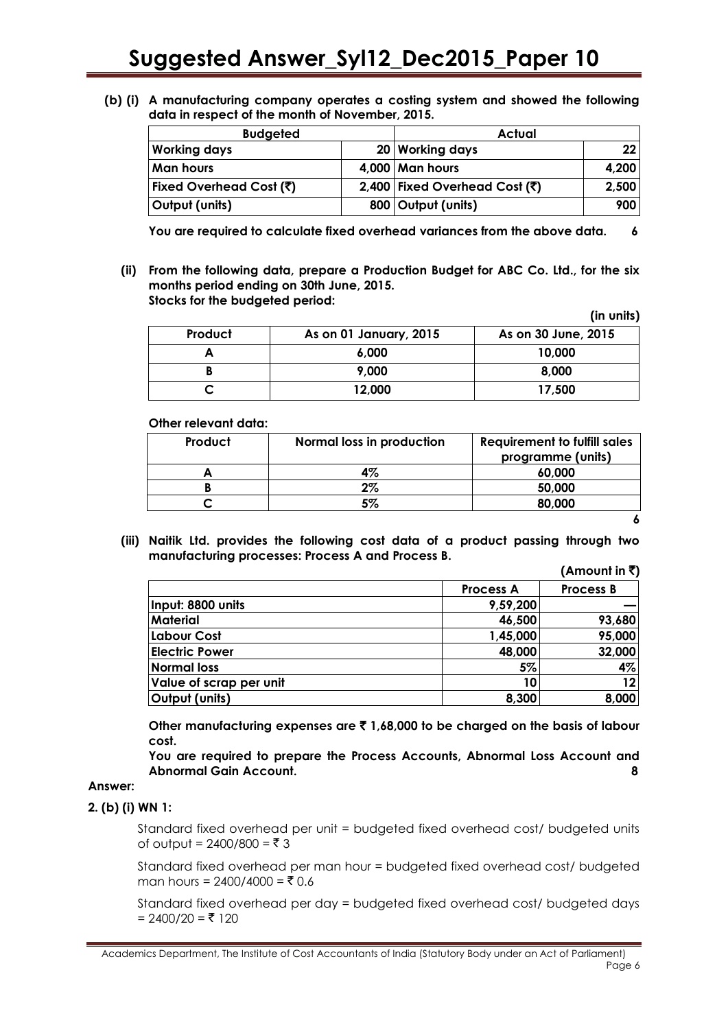**(b) (i) A manufacturing company operates a costing system and showed the following data in respect of the month of November, 2015.**

| <b>Budgeted</b>         |  | Actual                                              |                 |
|-------------------------|--|-----------------------------------------------------|-----------------|
| <b>Working days</b>     |  | 20 Working days                                     | 22 <sub>1</sub> |
| <b>Man hours</b>        |  | $4,000$ Man hours                                   | 4,200           |
| Fixed Overhead Cost (₹) |  | 2,400 Fixed Overhead Cost $(\overline{\mathbf{x}})$ | 2,500           |
| Output (units)          |  | 800 Output (units)                                  | 900             |

**You are required to calculate fixed overhead variances from the above data. 6**

**(ii) From the following data, prepare a Production Budget for ABC Co. Ltd., for the six months period ending on 30th June, 2015. Stocks for the budgeted period: (in units)**

|         |                        | $\cdots$            |
|---------|------------------------|---------------------|
| Product | As on 01 January, 2015 | As on 30 June, 2015 |
|         | 6.000                  | 10,000              |
|         | 9,000                  | 8,000               |
|         | 12,000                 | 17,500              |

**Other relevant data:**

| Product | Normal loss in production | <b>Requirement to fulfill sales</b> |
|---------|---------------------------|-------------------------------------|
|         |                           | programme (units)                   |
|         | 4%                        | 60,000                              |
|         | $2\%$                     | 50,000                              |
|         | 5%                        | 80,000                              |
|         |                           |                                     |

**(iii) Naitik Ltd. provides the following cost data of a product passing through two manufacturing processes: Process A and Process B.**  $($ Amonim<sup>1</sup> $\in$  $\overline{f}$ )

|                         |                  | (ANOVNI IN V)    |
|-------------------------|------------------|------------------|
|                         | <b>Process A</b> | <b>Process B</b> |
| Input: 8800 units       | 9,59,200         |                  |
| <b>Material</b>         | 46,500           | 93,680           |
| <b>Labour Cost</b>      | 1,45,000         | 95,000           |
| <b>Electric Power</b>   | 48,000           | 32,000           |
| <b>Normal loss</b>      | 5%               | 4%               |
| Value of scrap per unit | 10               | 12               |
| Output (units)          | 8,300            | 8,000            |

**Other manufacturing expenses are** ` **1,68,000 to be charged on the basis of labour cost.**

**You are required to prepare the Process Accounts, Abnormal Loss Account and Abnormal Gain Account. 8**

### **Answer:**

### **2. (b) (i) WN 1:**

Standard fixed overhead per unit = budgeted fixed overhead cost/ budgeted units of output =  $2400/800 = ₹ 3$ 

Standard fixed overhead per man hour = budgeted fixed overhead cost/ budgeted man hours =  $2400/4000 = ₹ 0.6$ 

Standard fixed overhead per day = budgeted fixed overhead cost/ budgeted days  $= 2400/20 = ₹ 120$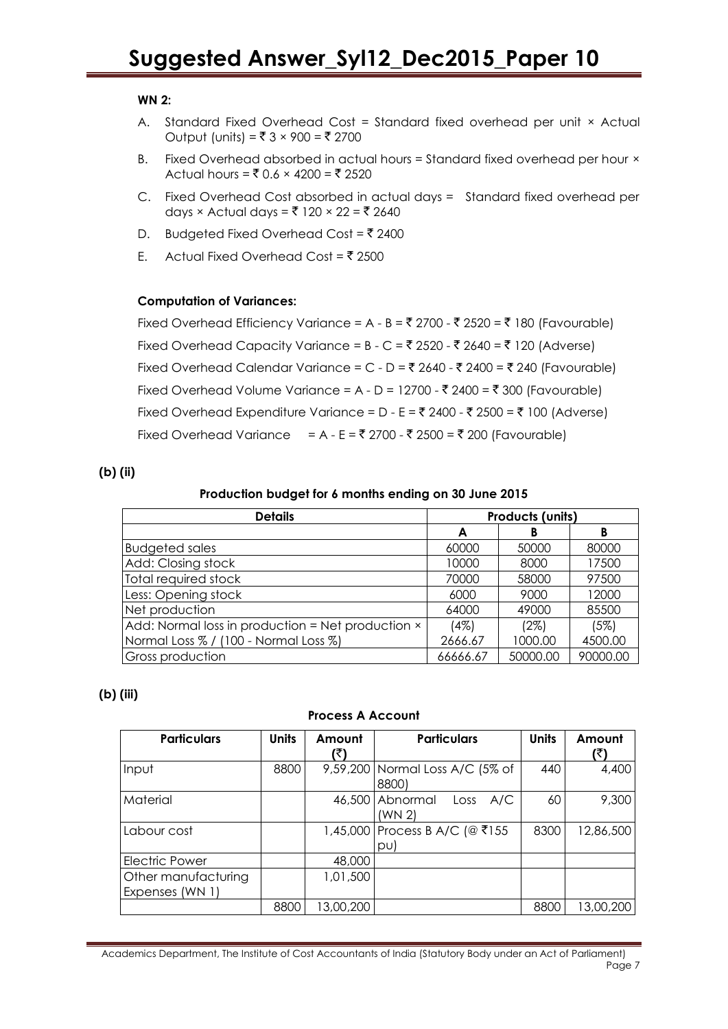### **WN 2:**

- A. Standard Fixed Overhead Cost = Standard fixed overhead per unit × Actual Output (units) = ₹ 3 × 900 = ₹ 2700
- B. Fixed Overhead absorbed in actual hours = Standard fixed overhead per hour × Actual hours =  $\bar{x}$  0.6 × 4200 =  $\bar{x}$  2520
- C. Fixed Overhead Cost absorbed in actual days = Standard fixed overhead per days × Actual days = ₹ 120 × 22 = ₹ 2640
- D. Budgeted Fixed Overhead Cost =  $\bar{z}$  2400
- E. Actual Fixed Overhead Cost =  $\overline{5}$  2500

### **Computation of Variances:**

Fixed Overhead Efficiency Variance = A - B = ₹ 2700 - ₹ 2520 = ₹ 180 (Favourable) Fixed Overhead Capacity Variance =  $B - C = ₹ 2520 - ₹ 2640 = ₹ 120$  (Adverse) Fixed Overhead Calendar Variance = C - D = ₹ 2640 - ₹ 2400 = ₹ 240 (Favourable) Fixed Overhead Volume Variance = A - D = 12700 -  $\overline{\mathfrak{c}}$  2400 =  $\overline{\mathfrak{c}}$  300 (Favourable) Fixed Overhead Expenditure Variance = D - E = ₹ 2400 - ₹ 2500 = ₹ 100 (Adverse) Fixed Overhead Variance = A - E = ₹ 2700 - ₹ 2500 = ₹ 200 (Favourable)

### **(b) (ii)**

#### **Production budget for 6 months ending on 30 June 2015**

| <b>Details</b>                                    | Products (units) |          |          |  |
|---------------------------------------------------|------------------|----------|----------|--|
|                                                   | A                | В        | в        |  |
| <b>Budgeted sales</b>                             | 60000            | 50000    | 80000    |  |
| Add: Closing stock                                | 10000            | 8000     | 17500    |  |
| Total required stock                              | 70000            | 58000    | 97500    |  |
| Less: Opening stock                               | 6000             | 9000     | 12000    |  |
| Net production                                    | 64000            | 49000    | 85500    |  |
| Add: Normal loss in production = Net production × | (4%)             | (2%)     | (5%)     |  |
| Normal Loss % / (100 - Normal Loss %)             | 2666.67          | 1000.00  | 4500.00  |  |
| <b>Gross production</b>                           | 66666.67         | 50000.00 | 90000.00 |  |

### **(b) (iii)**

#### **Process A Account**

| <b>Particulars</b>    | <b>Units</b> | Amount    | <b>Particulars</b>              | <b>Units</b> | Amount    |
|-----------------------|--------------|-----------|---------------------------------|--------------|-----------|
|                       |              | (₹)       |                                 |              | (₹)       |
| Input                 | 8800         |           | 9,59,200 Normal Loss A/C (5% of | 440          | 4,400     |
|                       |              |           | 8800)                           |              |           |
| Material              |              |           | 46,500 Abnormal<br>A/C<br>Loss  | 60           | 9,300     |
|                       |              |           | (WN 2)                          |              |           |
| Labour cost           |              |           | 1,45,000 Process B A/C (@ ₹155  | 8300         | 12,86,500 |
|                       |              |           | pul                             |              |           |
| <b>Electric Power</b> |              | 48,000    |                                 |              |           |
| Other manufacturing   |              | 1,01,500  |                                 |              |           |
| Expenses (WN 1)       |              |           |                                 |              |           |
|                       | 8800         | 13,00,200 |                                 | <b>8800</b>  | 13,00,200 |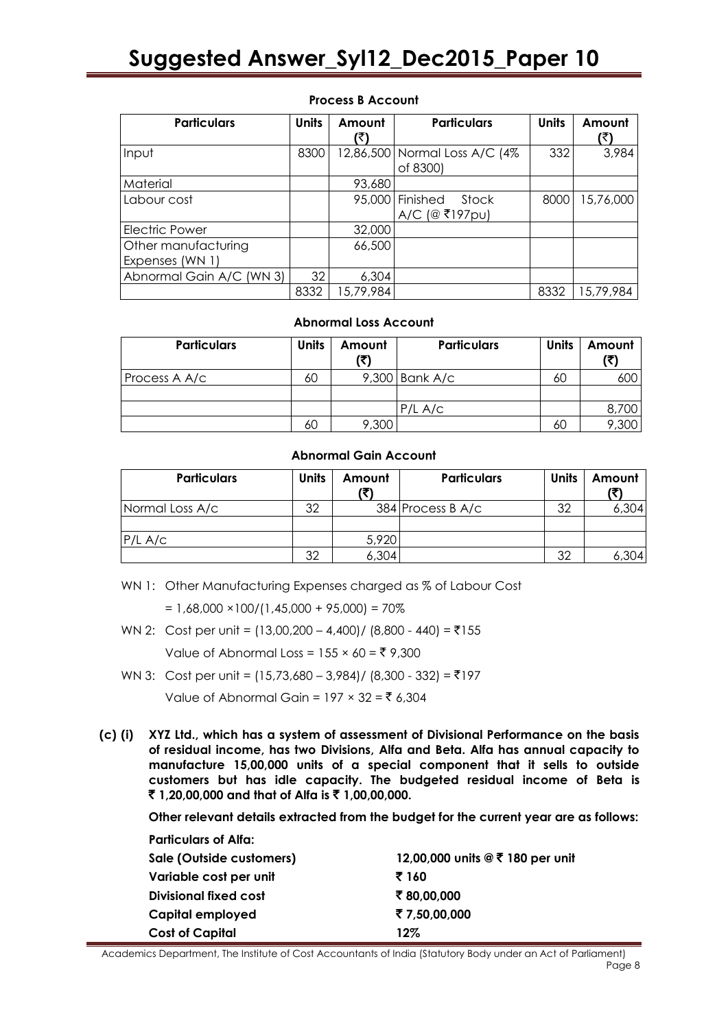| <b>Particulars</b>                     | <b>Units</b> | Amount<br>R) | <b>Particulars</b>                          | <b>Units</b> | Amount<br>(₹ |
|----------------------------------------|--------------|--------------|---------------------------------------------|--------------|--------------|
| Input                                  | 8300         |              | 12,86,500   Normal Loss A/C (4%<br>of 8300) | 332          | 3,984        |
| Material                               |              | 93,680       |                                             |              |              |
| Labour cost                            |              |              | 95,000 Finished<br>Stock<br>A/C (@ ₹197pu)  | 8000         | 15,76,000    |
| <b>Electric Power</b>                  |              | 32,000       |                                             |              |              |
| Other manufacturing<br>Expenses (WN 1) |              | 66,500       |                                             |              |              |
| Abnormal Gain A/C (WN 3)               | 32           | 6,304        |                                             |              |              |
|                                        | 8332         | 15,79,984    |                                             | 8332         | 15,79,984    |

### **Process B Account**

#### **Abnormal Loss Account**

| <b>Particulars</b> | <b>Units</b> | Amount<br>(₹) | <b>Particulars</b> | <b>Units</b> | Amount<br>(3) |
|--------------------|--------------|---------------|--------------------|--------------|---------------|
| Process A A/c      | 60           |               | $9,300$ Bank A/c   | 60           | 600           |
|                    |              |               |                    |              |               |
|                    |              |               | $P/L$ A/c          |              | 8,700         |
|                    | 60           | 9,300         |                    | 60           |               |

### **Abnormal Gain Account**

| <b>Particulars</b> | <b>Units</b> | Amount | <b>Particulars</b> | <b>Units</b> | Amount |
|--------------------|--------------|--------|--------------------|--------------|--------|
| Normal Loss A/c    | 32           |        | 384 Process B A/c  | 32           | 6,304  |
|                    |              |        |                    |              |        |
| $P/L$ A/c          |              | 5,920  |                    |              |        |
|                    | 32           | 6,304  |                    | 32           | 304    |

WN 1: Other Manufacturing Expenses charged as % of Labour Cost

 $= 1,68,000 \times 100/(1,45,000 + 95,000) = 70\%$ 

WN 2: Cost per unit =  $(13,00,200 - 4,400) / (8,800 - 440) = ₹155$ 

Value of Abnormal Loss =  $155 \times 60 = ₹ 9,300$ 

- WN 3: Cost per unit =  $(15,73,680 3,984)$  /  $(8,300 332) = ₹197$  $Value of Abnormal Gain = 197 \times 32 = ₹ 6,304$
- **(c) (i) XYZ Ltd., which has a system of assessment of Divisional Performance on the basis of residual income, has two Divisions, Alfa and Beta. Alfa has annual capacity to manufacture 15,00,000 units of a special component that it sells to outside customers but has idle capacity. The budgeted residual income of Beta is**  ` **1,20,00,000 and that of Alfa is** ` **1,00,00,000.**

**Other relevant details extracted from the budget for the current year are as follows:**

| <b>Particulars of Alfa:</b>  |                                  |
|------------------------------|----------------------------------|
| Sale (Outside customers)     | 12,00,000 units @ ₹ 180 per unit |
| Variable cost per unit       | ₹ 160                            |
| <b>Divisional fixed cost</b> | ₹80,00,000                       |
| Capital employed             | ₹7,50,00,000                     |
| <b>Cost of Capital</b>       | $12\%$                           |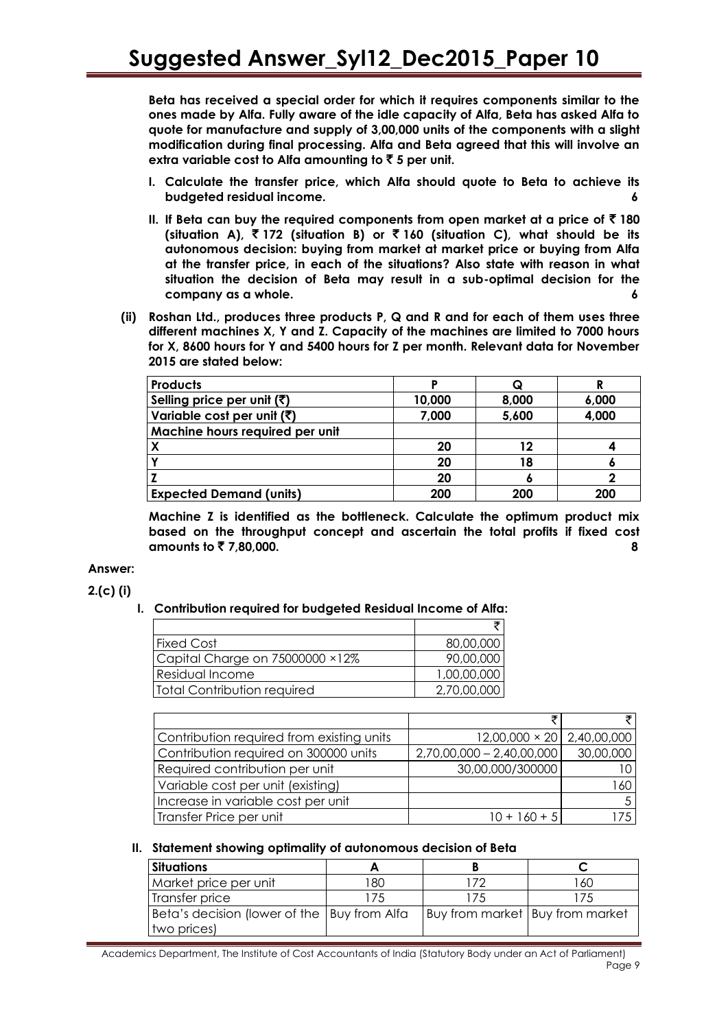**Beta has received a special order for which it requires components similar to the ones made by Alfa. Fully aware of the idle capacity of Alfa, Beta has asked Alfa to quote for manufacture and supply of 3,00,000 units of the components with a slight modification during final processing. Alfa and Beta agreed that this will involve an extra variable cost to Alfa amounting to** ` **5 per unit.**

- **I. Calculate the transfer price, which Alfa should quote to Beta to achieve its budgeted residual income. 6**
- **II.** If Beta can buy the required components from open market at a price of  $\bar{\tau}$  180 **(situation A),** ` **172 (situation B) or** ` **160 (situation C), what should be its autonomous decision: buying from market at market price or buying from Alfa at the transfer price, in each of the situations? Also state with reason in what situation the decision of Beta may result in a sub-optimal decision for the company as a whole. 6**
- **(ii) Roshan Ltd., produces three products P, Q and R and for each of them uses three different machines X, Y and Z. Capacity of the machines are limited to 7000 hours for X, 8600 hours for Y and 5400 hours for Z per month. Relevant data for November 2015 are stated below:**

| <b>Products</b>                        |        | Q     |       |
|----------------------------------------|--------|-------|-------|
| Selling price per unit $(\bar{\zeta})$ | 10,000 | 8,000 | 6,000 |
| Variable cost per unit (₹)             | 7,000  | 5,600 | 4,000 |
| Machine hours required per unit        |        |       |       |
|                                        | 20     | 12    |       |
|                                        | 20     | 18    |       |
|                                        | 20     |       |       |
| <b>Expected Demand (units)</b>         | 200    | 200   | 200   |

**Machine Z is identified as the bottleneck. Calculate the optimum product mix based on the throughput concept and ascertain the total profits if fixed cost amounts to** ` **7,80,000. 8**

### **Answer:**

**2.(c) (i)**

### **I. Contribution required for budgeted Residual Income of Alfa:**

| <b>Fixed Cost</b>               | 80,00,000   |
|---------------------------------|-------------|
| Capital Charge on 75000000 ×12% | 90,00,000   |
| Residual Income                 | 1,00,00,000 |
| Total Contribution required     | 2,70,00,000 |

| Contribution required from existing units | $12,00,000 \times 20$   2,40,00,000 |           |
|-------------------------------------------|-------------------------------------|-----------|
| Contribution required on 300000 units     | $2,70,00,000 - 2,40,00,000$         | 30,00,000 |
| Required contribution per unit            | 30,00,000/300000                    |           |
| Variable cost per unit (existing)         |                                     | 160       |
| Increase in variable cost per unit        |                                     |           |
| Transfer Price per unit                   | $10 + 160 + 5$                      |           |

### **II. Statement showing optimality of autonomous decision of Beta**

| <b>Situations</b>                                            |     |                                 |     |
|--------------------------------------------------------------|-----|---------------------------------|-----|
| Market price per unit                                        | 180 | 172                             | 160 |
| Transfer price                                               | 175 | 175                             | 175 |
| Beta's decision (lower of the   Buy from Alfa<br>two prices) |     | Buy from market Buy from market |     |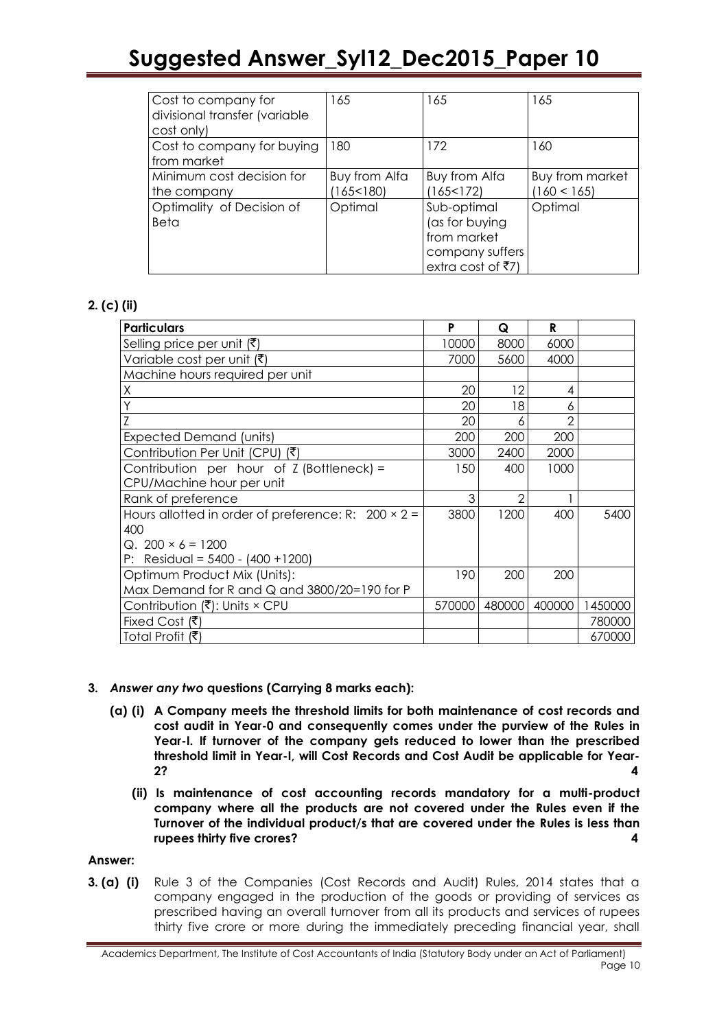| Cost to company for<br>divisional transfer (variable<br>cost only) | 165                      | 165                                                                                  | 165                            |
|--------------------------------------------------------------------|--------------------------|--------------------------------------------------------------------------------------|--------------------------------|
| Cost to company for buying<br>from market                          | 180                      | 172                                                                                  | 160                            |
| Minimum cost decision for<br>the company                           | Buy from Alfa<br>165<180 | Buy from Alfa<br>(165<172)                                                           | Buy from market<br>(160 < 165) |
| Optimality of Decision of<br>Beta                                  | Optimal                  | Sub-optimal<br>(as for buying<br>from market<br>company suffers<br>extra cost of ₹7) | Optimal                        |

### **2. (c) (ii)**

| <b>Particulars</b>                                         | P      | Q      | R      |         |
|------------------------------------------------------------|--------|--------|--------|---------|
| Selling price per unit (₹)                                 | 10000  | 8000   | 6000   |         |
| Variable cost per unit $(\bar{\zeta})$                     | 7000   | 5600   | 4000   |         |
| Machine hours required per unit                            |        |        |        |         |
| Χ                                                          | 20     | 12     | 4      |         |
|                                                            | 20     | 18     | 6      |         |
|                                                            | 20     | 6      | 2      |         |
| <b>Expected Demand (units)</b>                             | 200    | 200    | 200    |         |
| Contribution Per Unit (CPU) (₹)                            | 3000   | 2400   | 2000   |         |
| Contribution per hour of $Z$ (Bottleneck) =                | 150    | 400    | 1000   |         |
| CPU/Machine hour per unit                                  |        |        |        |         |
| Rank of preference                                         | 3      | 2      |        |         |
| Hours allotted in order of preference: R: $200 \times 2 =$ | 3800   | 1200   | 400    | 5400    |
| 400                                                        |        |        |        |         |
| $Q.200 \times 6 = 1200$                                    |        |        |        |         |
| P: Residual = $5400 - (400 + 1200)$                        |        |        |        |         |
| Optimum Product Mix (Units):                               | 190    | 200    | 200    |         |
| Max Demand for R and Q and 3800/20=190 for P               |        |        |        |         |
| Contribution $(\bar{\bar{\mathbf{x}}})$ : Units × CPU      | 570000 | 480000 | 400000 | 1450000 |
| Fixed Cost $(\bar{\bar{\mathbf{z}}})$                      |        |        |        | 780000  |
| Total Profit (₹)                                           |        |        |        | 670000  |

### **3.** *Answer any two* **questions (Carrying 8 marks each):**

- **(a) (i) A Company meets the threshold limits for both maintenance of cost records and cost audit in Year-0 and consequently comes under the purview of the Rules in Year-I. If turnover of the company gets reduced to lower than the prescribed threshold limit in Year-I, will Cost Records and Cost Audit be applicable for Year-2? 4**
	- **(ii) Is maintenance of cost accounting records mandatory for a multi-product company where all the products are not covered under the Rules even if the Turnover of the individual product/s that are covered under the Rules is less than rupees thirty five crores? 4**

### **Answer:**

**3. (a) (i)** Rule 3 of the Companies (Cost Records and Audit) Rules, 2014 states that a company engaged in the production of the goods or providing of services as prescribed having an overall turnover from all its products and services of rupees thirty five crore or more during the immediately preceding financial year, shall

Academics Department, The Institute of Cost Accountants of India (Statutory Body under an Act of Parliament) Page 10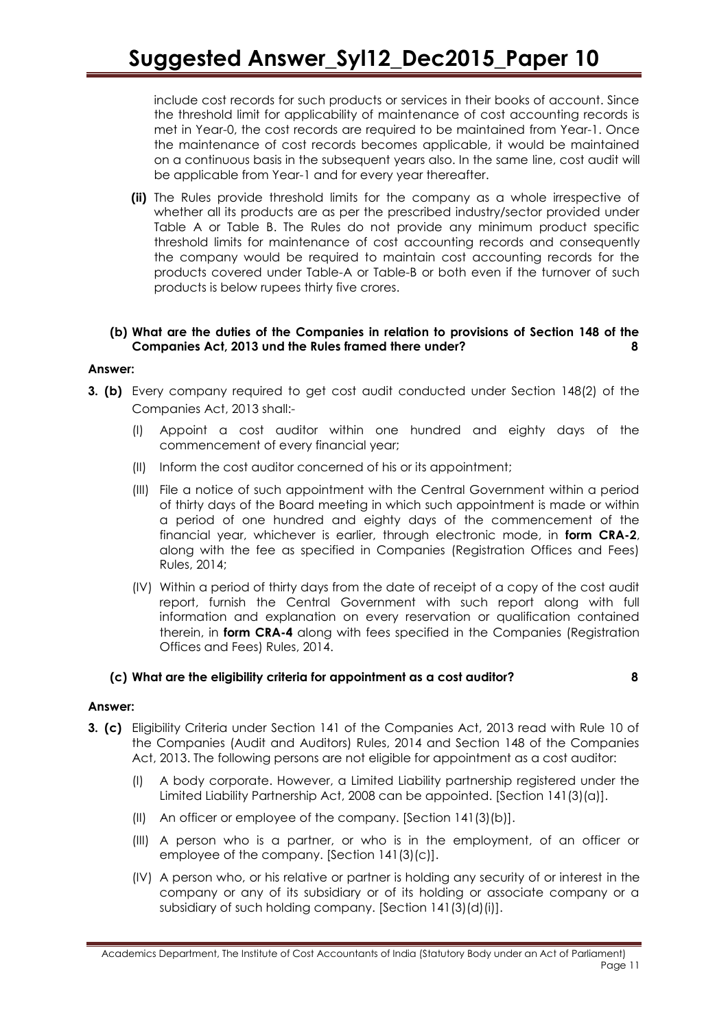include cost records for such products or services in their books of account. Since the threshold limit for applicability of maintenance of cost accounting records is met in Year-0, the cost records are required to be maintained from Year-1. Once the maintenance of cost records becomes applicable, it would be maintained on a continuous basis in the subsequent years also. In the same line, cost audit will be applicable from Year-1 and for every year thereafter.

**(ii)** The Rules provide threshold limits for the company as a whole irrespective of whether all its products are as per the prescribed industry/sector provided under Table A or Table B. The Rules do not provide any minimum product specific threshold limits for maintenance of cost accounting records and consequently the company would be required to maintain cost accounting records for the products covered under Table-A or Table-B or both even if the turnover of such products is below rupees thirty five crores.

### **(b) What are the duties of the Companies in relation to provisions of Section 148 of the Companies Act, 2013 und the Rules framed there under? 8**

### **Answer:**

- **3. (b)** Every company required to get cost audit conducted under Section 148(2) of the Companies Act, 2013 shall:-
	- (I) Appoint a cost auditor within one hundred and eighty days of the commencement of every financial year;
	- (II) Inform the cost auditor concerned of his or its appointment;
	- (III) File a notice of such appointment with the Central Government within a period of thirty days of the Board meeting in which such appointment is made or within a period of one hundred and eighty days of the commencement of the financial year, whichever is earlier, through electronic mode, in **form CRA-2**, along with the fee as specified in Companies (Registration Offices and Fees) Rules, 2014;
	- (IV) Within a period of thirty days from the date of receipt of a copy of the cost audit report, furnish the Central Government with such report along with full information and explanation on every reservation or qualification contained therein, in **form CRA-4** along with fees specified in the Companies (Registration Offices and Fees) Rules, 2014.

### **(c) What are the eligibility criteria for appointment as a cost auditor? 8**

### **Answer:**

- **3. (c)** Eligibility Criteria under Section 141 of the Companies Act, 2013 read with Rule 10 of the Companies (Audit and Auditors) Rules, 2014 and Section 148 of the Companies Act, 2013. The following persons are not eligible for appointment as a cost auditor:
	- (I) A body corporate. However, a Limited Liability partnership registered under the Limited Liability Partnership Act, 2008 can be appointed. [Section 141(3)(a)].
	- (II) An officer or employee of the company. [Section 141(3)(b)].
	- (III) A person who is a partner, or who is in the employment, of an officer or employee of the company. [Section 141(3)(c)].
	- (IV) A person who, or his relative or partner is holding any security of or interest in the company or any of its subsidiary or of its holding or associate company or a subsidiary of such holding company. [Section 141(3)(d)(i)].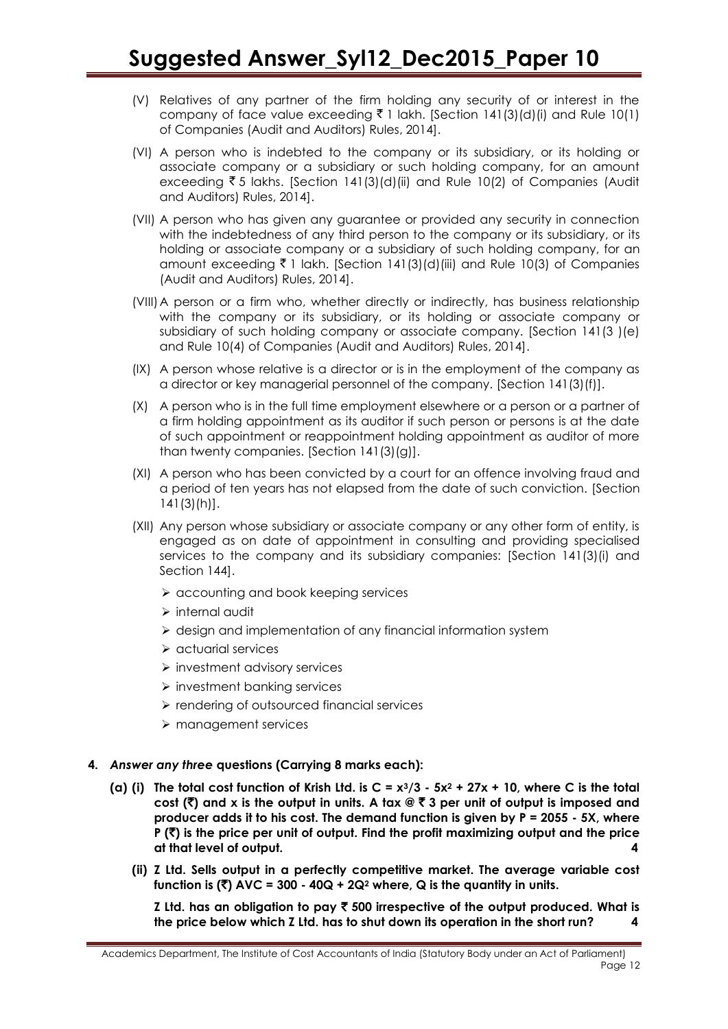- (V) Relatives of any partner of the firm holding any security of or interest in the company of face value exceeding  $\bar{\tau}$  1 lakh. [Section 141(3)(d)(i) and Rule 10(1) of Companies (Audit and Auditors) Rules, 2014].
- (VI) A person who is indebted to the company or its subsidiary, or its holding or associate company or a subsidiary or such holding company, for an amount exceeding  $\bar{\tau}$  5 lakhs. [Section 141(3)(d)(ii) and Rule 10(2) of Companies (Audit and Auditors) Rules, 2014].
- (VII) A person who has given any guarantee or provided any security in connection with the indebtedness of any third person to the company or its subsidiary, or its holding or associate company or a subsidiary of such holding company, for an amount exceeding  $\bar{\xi}$  1 lakh. [Section 141(3)(d)(iii) and Rule 10(3) of Companies (Audit and Auditors) Rules, 2014].
- (VIII)A person or a firm who, whether directly or indirectly, has business relationship with the company or its subsidiary, or its holding or associate company or subsidiary of such holding company or associate company. [Section 141(3 )(e) and Rule 10(4) of Companies (Audit and Auditors) Rules, 2014].
- (IX) A person whose relative is a director or is in the employment of the company as a director or key managerial personnel of the company. [Section 141(3)(f)].
- (X) A person who is in the full time employment elsewhere or a person or a partner of a firm holding appointment as its auditor if such person or persons is at the date of such appointment or reappointment holding appointment as auditor of more than twenty companies. [Section 141(3)(g)].
- (XI) A person who has been convicted by a court for an offence involving fraud and a period of ten years has not elapsed from the date of such conviction. [Section 141(3)(h)].
- (XII) Any person whose subsidiary or associate company or any other form of entity, is engaged as on date of appointment in consulting and providing specialised services to the company and its subsidiary companies: [Section 141(3)(i) and Section 144].
	- $\triangleright$  accounting and book keeping services
	- $\triangleright$  internal audit
	- design and implementation of any financial information system
	- $\triangleright$  actuarial services
	- $\triangleright$  investment advisory services
	- $\triangleright$  investment banking services
	- $\triangleright$  rendering of outsourced financial services
	- > management services
- **4.** *Answer any three* **questions (Carrying 8 marks each):**
	- **(a) (i) The total cost function of Krish Ltd. is C = x3/3 - 5x<sup>2</sup> + 27x + 10, where C is the total cost (**`**) and x is the output in units. A tax @** ` **3 per unit of output is imposed and producer adds it to his cost. The demand function is given by P = 2055 - 5X, where P (**`**) is the price per unit of output. Find the profit maximizing output and the price at that level of output. 4**
		- **(ii) Z Ltd. Sells output in a perfectly competitive market. The average variable cost**  function is  $(\bar{\bar{\zeta}})$  AVC = 300 - 40Q + 2Q<sup>2</sup> where, Q is the quantity in units.

**Z Ltd. has an obligation to pay** ` **500 irrespective of the output produced. What is the price below which Z Ltd. has to shut down its operation in the short run? 4**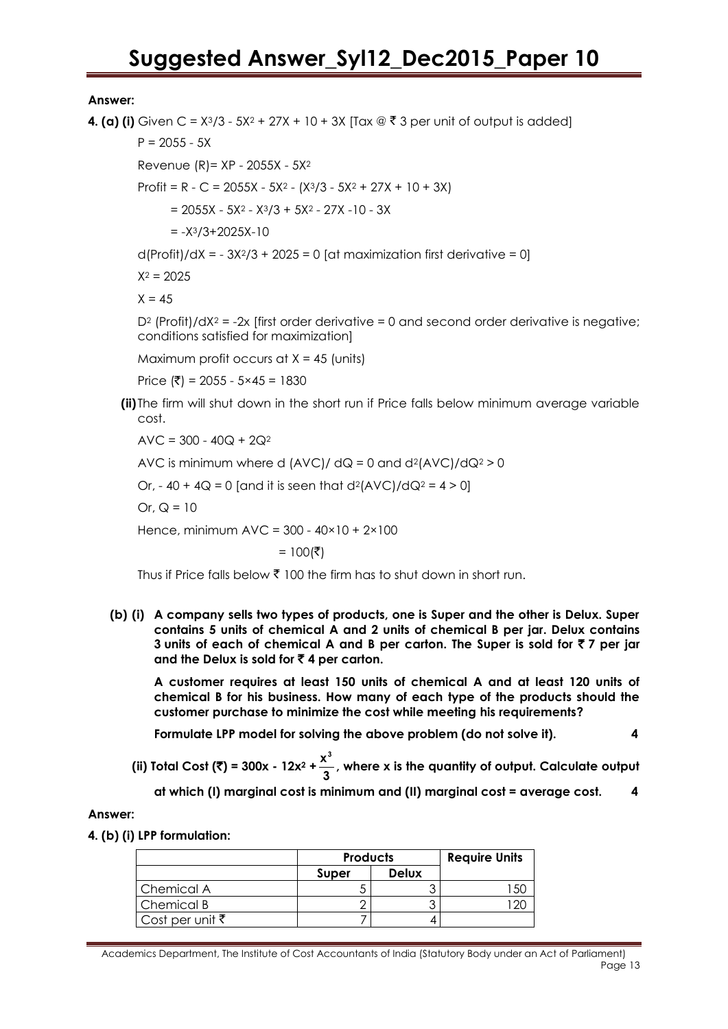### **Answer:**

**4. (a) (i)** Given C =  $X^3/3 - 5X^2 + 27X + 10 + 3X$  [Tax  $\mathcal{Q} \bar{\mathcal{F}}$  3 per unit of output is added]

 $P = 2055 - 5X$ 

Revenue (R)= XP - 2055X - 5X<sup>2</sup>

Profit = R - C = 2055X - 5X<sup>2</sup> -  $(X<sup>3</sup>/3 - 5X<sup>2</sup> + 27X + 10 + 3X)$ 

 $= 2055X - 5X^{2} - X^{3}/3 + 5X^{2} - 27X - 10 - 3X$ 

 $= -X^{3}/3+2025X-10$ 

 $d(Profit)/dX = -3X<sup>2</sup>/3 + 2025 = 0$  [at maximization first derivative = 0]

 $X^2 = 2025$ 

 $X = 45$ 

 $D^2$  (Profit)/dX<sup>2</sup> = -2x [first order derivative = 0 and second order derivative is negative; conditions satisfied for maximization]

Maximum profit occurs at  $X = 45$  (units)

Price  $(\bar{\bar{\zeta}})$  = 2055 - 5×45 = 1830

**(ii)** The firm will shut down in the short run if Price falls below minimum average variable cost.

 $AVC = 300 - 40Q + 2Q^2$ 

AVC is minimum where d  $(AVC)/dQ = 0$  and  $d^2(AVC)/dQ^2 > 0$ 

Or,  $-40 + 4Q = 0$  [and it is seen that  $d^2(AVC)/dQ^2 = 4 > 0$ ]

Or,  $Q = 10$ 

Hence, minimum AVC = 300 - 40×10 + 2×100

 $= 100$ (₹)

Thus if Price falls below  $\bar{\zeta}$  100 the firm has to shut down in short run.

**(b) (i) A company sells two types of products, one is Super and the other is Delux. Super contains 5 units of chemical A and 2 units of chemical B per jar. Delux contains 3 units of each of chemical A and B per carton. The Super is sold for** ` **7 per jar and the Delux is sold for** ` **4 per carton.**

**A customer requires at least 150 units of chemical A and at least 120 units of chemical B for his business. How many of each type of the products should the customer purchase to minimize the cost while meeting his requirements?**

**Formulate LPP model for solving the above problem (do not solve it). 4**

**(ii)** Total Cost (₹) = 300x - 12x<sup>2</sup> +  $\frac{x^3}{3}$  $\frac{1}{3}$ , where x is the quantity of output. Calculate output

**at which (I) marginal cost is minimum and (II) marginal cost = average cost. 4**

### **Answer:**

**4. (b) (i) LPP formulation:**

|                            | <b>Products</b> | <b>Require Units</b> |  |  |
|----------------------------|-----------------|----------------------|--|--|
|                            | Super           | <b>Delux</b>         |  |  |
| Chemical A                 |                 |                      |  |  |
| Chemical B                 |                 |                      |  |  |
| Cost per unit $\bar{\tau}$ |                 |                      |  |  |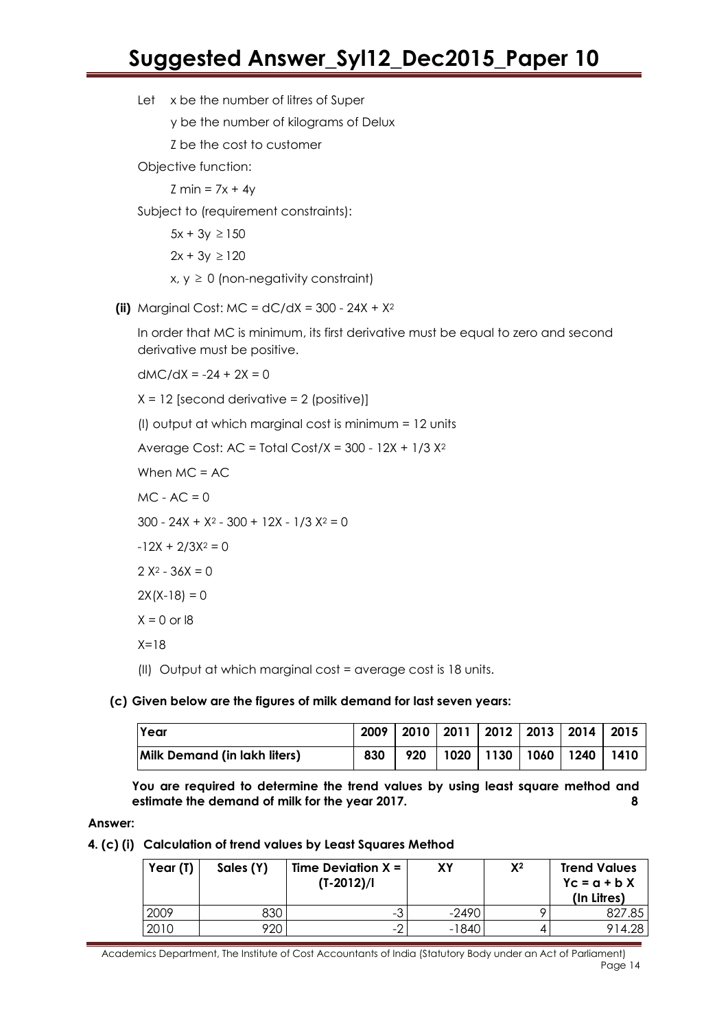Let x be the number of litres of Super

y be the number of kilograms of Delux

Z be the cost to customer

Objective function:

 $Z min = 7x + 4y$ 

Subject to (requirement constraints):

 $5x + 3y \ge 150$  $2x + 3y \ge 120$  $x, y \ge 0$  (non-negativity constraint)

**(ii)** Marginal Cost:  $MC = dC/dX = 300 - 24X + X^2$ 

In order that MC is minimum, its first derivative must be equal to zero and second derivative must be positive.

 $dMC/dX = -24 + 2X = 0$ 

 $X = 12$  [second derivative = 2 (positive)]

(I) output at which marginal cost is minimum = 12 units

Average Cost:  $AC = Total Cost/X = 300 - 12X + 1/3 X^2$ 

When MC = AC

 $MC - AC = 0$ 

 $300 - 24X + X^2 - 300 + 12X - 1/3 X^2 = 0$ 

 $-12X + 2/3X^2 = 0$ 

 $2 X^2 - 36X = 0$ 

 $2X(X-18) = 0$ 

$$
X = 0 \text{ or } 18
$$

 $X=18$ 

(II) Output at which marginal cost = average cost is 18 units.

### **(c) Given below are the figures of milk demand for last seven years:**

| <b>Year</b>                         | 2009 |     |  | 2010   2011   2012   2013   2014   2015 |  |
|-------------------------------------|------|-----|--|-----------------------------------------|--|
| <b>Milk Demand (in lakh liters)</b> | 830  | 920 |  | 1020   1130   1060   1240   1410        |  |

**You are required to determine the trend values by using least square method and estimate the demand of milk for the year 2017. 8**

#### **Answer:**

**4. (c) (i) Calculation of trend values by Least Squares Method**

| Year (T) | Sales (Y) | Time Deviation $X =$<br>$(T-2012)/I$ | ΧY      | $X^2$ | <b>Trend Values</b><br>$Yc = a + bX$<br>(In Litres) |
|----------|-----------|--------------------------------------|---------|-------|-----------------------------------------------------|
| 2009     | 330       | -3                                   | $-2490$ |       | 827.85                                              |
| 2010     | 20`       | $-2$                                 | -1840   |       | 914.28                                              |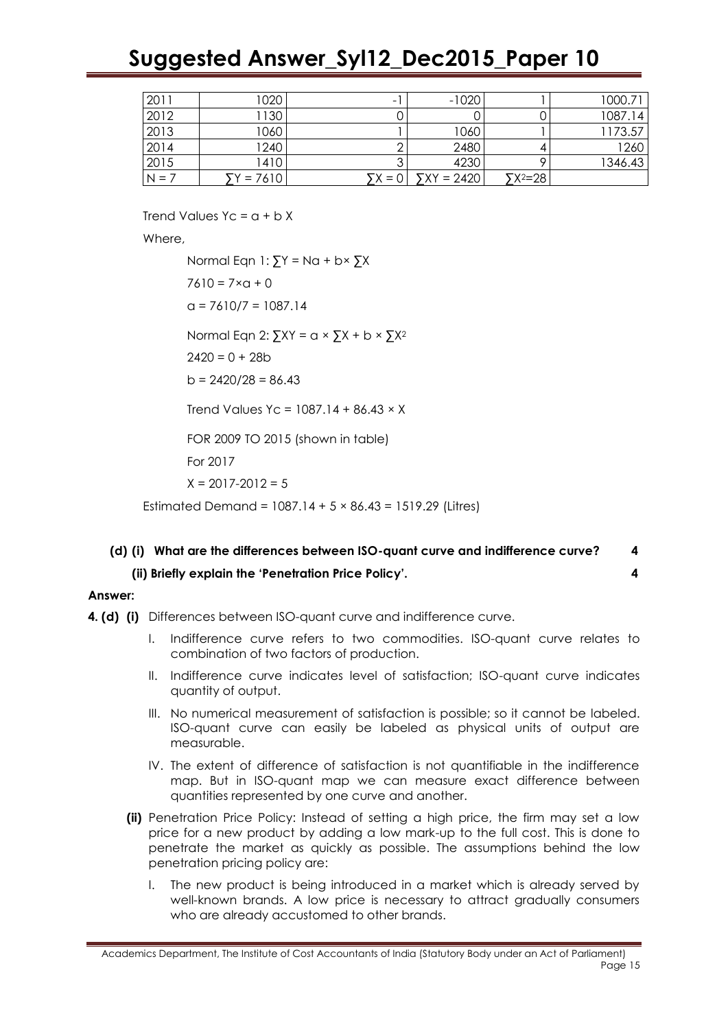| 2011    | 1020     | -     | $-1020$      |                 | 1000.71 |
|---------|----------|-------|--------------|-----------------|---------|
| 2012    | 130      |       |              |                 | 1087.14 |
| 2013    | 1060     |       | 1060         |                 | 1173.57 |
| 2014    | 1240     |       | 2480         |                 | 1260    |
| 2015    | 1410     |       | 4230         |                 | 1346.43 |
| $N = 1$ | $= 7610$ | $= 0$ | $YXY = 2420$ | $\Sigma^{2=28}$ |         |

Trend Values  $Yc = a + bX$ 

Where,

Normal Eqn 1:  $\sum Y = Na + b \times \sum X$  $7610 = 7 \times a + 0$  $a = 7610/7 = 1087.14$ Normal Eqn 2:  $\sum XY = a \times \sum X + b \times \sum X^2$  $2420 = 0 + 28b$  $b = 2420/28 = 86.43$ Trend Values Yc =  $1087.14 + 86.43 \times X$ FOR 2009 TO 2015 (shown in table) For 2017  $X = 2017 - 2012 = 5$ Estimated Demand = 1087.14 + 5 × 86.43 = 1519.29 (Litres)

### **(d) (i) What are the differences between ISO-quant curve and indifference curve? 4**

**(ii) Briefly explain the 'Penetration Price Policy'. 4**

### **Answer:**

- **4. (d) (i)** Differences between ISO-quant curve and indifference curve.
	- I. Indifference curve refers to two commodities. ISO-quant curve relates to combination of two factors of production.
	- II. Indifference curve indicates level of satisfaction; ISO-quant curve indicates quantity of output.
	- III. No numerical measurement of satisfaction is possible; so it cannot be labeled. ISO-quant curve can easily be labeled as physical units of output are measurable.
	- IV. The extent of difference of satisfaction is not quantifiable in the indifference map. But in ISO-quant map we can measure exact difference between quantities represented by one curve and another.
	- **(ii)** Penetration Price Policy: Instead of setting a high price, the firm may set a low price for a new product by adding a low mark-up to the full cost. This is done to penetrate the market as quickly as possible. The assumptions behind the low penetration pricing policy are:
		- I. The new product is being introduced in a market which is already served by well-known brands. A low price is necessary to attract gradually consumers who are already accustomed to other brands.